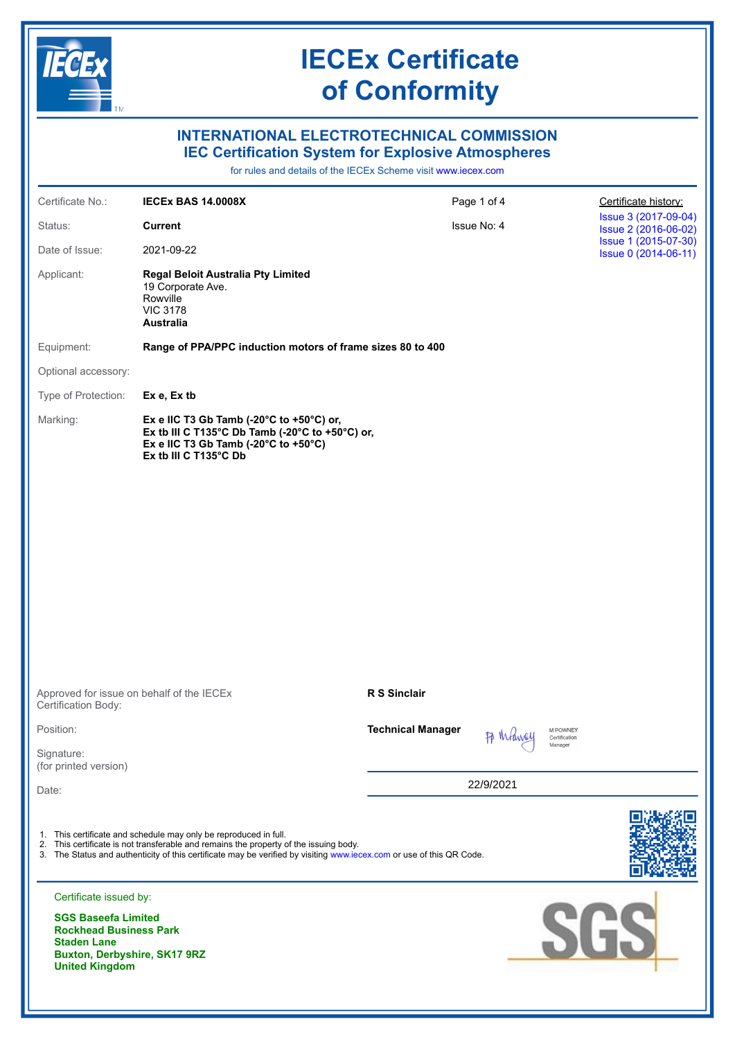

# **INTERNATIONAL ELECTROTECHNICAL COMMISSION IEC Certification System for Explosive Atmospheres**

for rules and details of the IECEx Scheme visit [www.iecex.com](https://www.iecex.com)

| Certificate No.:                                                                                                                           | <b>IECEX BAS 14.0008X</b>                                                                                                                                                                                                                                                         | Page 1 of 4              |           | Certificate history:                         |
|--------------------------------------------------------------------------------------------------------------------------------------------|-----------------------------------------------------------------------------------------------------------------------------------------------------------------------------------------------------------------------------------------------------------------------------------|--------------------------|-----------|----------------------------------------------|
| Status:                                                                                                                                    | <b>Current</b>                                                                                                                                                                                                                                                                    | Issue No: 4              |           | Issue 3 (2017-09-04)<br>Issue 2 (2016-06-02) |
| Date of Issue:                                                                                                                             | 2021-09-22                                                                                                                                                                                                                                                                        |                          |           | Issue 1 (2015-07-30)<br>Issue 0 (2014-06-11) |
| Applicant:                                                                                                                                 | <b>Regal Beloit Australia Pty Limited</b><br>19 Corporate Ave.<br>Rowville<br><b>VIC 3178</b><br><b>Australia</b>                                                                                                                                                                 |                          |           |                                              |
| Equipment:                                                                                                                                 | Range of PPA/PPC induction motors of frame sizes 80 to 400                                                                                                                                                                                                                        |                          |           |                                              |
| Optional accessory:                                                                                                                        |                                                                                                                                                                                                                                                                                   |                          |           |                                              |
| Type of Protection:                                                                                                                        | Ex e, Ex tb                                                                                                                                                                                                                                                                       |                          |           |                                              |
| Marking:                                                                                                                                   | Ex e IIC T3 Gb Tamb (-20 $^{\circ}$ C to +50 $^{\circ}$ C) or,<br>Ex tb III C T135°C Db Tamb (-20°C to +50°C) or,<br>Ex e IIC T3 Gb Tamb (-20 $^{\circ}$ C to +50 $^{\circ}$ C)<br>Ex tb III C T135°C Db                                                                          |                          |           |                                              |
|                                                                                                                                            |                                                                                                                                                                                                                                                                                   |                          |           |                                              |
|                                                                                                                                            |                                                                                                                                                                                                                                                                                   |                          |           |                                              |
|                                                                                                                                            |                                                                                                                                                                                                                                                                                   |                          |           |                                              |
| Approved for issue on behalf of the IECEx<br>Certification Body:                                                                           |                                                                                                                                                                                                                                                                                   | R S Sinclair             |           |                                              |
| Position:                                                                                                                                  |                                                                                                                                                                                                                                                                                   | <b>Technical Manager</b> |           | M POWNEY<br>Certification                    |
| Signature:<br>(for printed version)                                                                                                        |                                                                                                                                                                                                                                                                                   |                          |           | Manager                                      |
| Date:                                                                                                                                      |                                                                                                                                                                                                                                                                                   |                          | 22/9/2021 |                                              |
|                                                                                                                                            |                                                                                                                                                                                                                                                                                   |                          |           |                                              |
|                                                                                                                                            | 1. This certificate and schedule may only be reproduced in full.<br>2. This certificate is not transferable and remains the property of the issuing body.<br>3. The Status and authenticity of this certificate may be verified by visiting www.iecex.com or use of this QR Code. |                          |           |                                              |
| Certificate issued by:                                                                                                                     |                                                                                                                                                                                                                                                                                   |                          |           |                                              |
| <b>SGS Baseefa Limited</b><br><b>Rockhead Business Park</b><br><b>Staden Lane</b><br>Buxton, Derbyshire, SK17 9RZ<br><b>United Kingdom</b> |                                                                                                                                                                                                                                                                                   |                          |           | SGS                                          |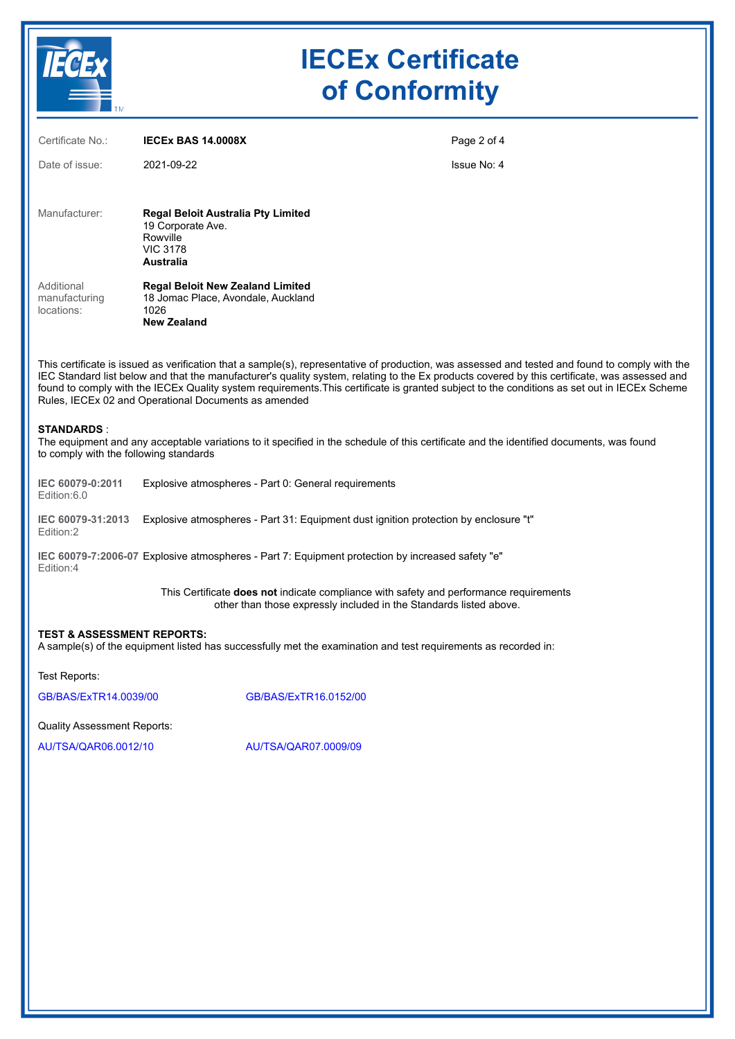

| <b>TELESCOPE</b>                                            |                                                                                                             |                                                                                                  |                                                                                                                                                                                                                                                                                                                                                                                                                                                  |  |
|-------------------------------------------------------------|-------------------------------------------------------------------------------------------------------------|--------------------------------------------------------------------------------------------------|--------------------------------------------------------------------------------------------------------------------------------------------------------------------------------------------------------------------------------------------------------------------------------------------------------------------------------------------------------------------------------------------------------------------------------------------------|--|
| Certificate No.:                                            | <b>IECEX BAS 14.0008X</b>                                                                                   |                                                                                                  | Page 2 of 4                                                                                                                                                                                                                                                                                                                                                                                                                                      |  |
| Date of issue:                                              | 2021-09-22                                                                                                  |                                                                                                  | Issue No: 4                                                                                                                                                                                                                                                                                                                                                                                                                                      |  |
| Manufacturer:                                               | Regal Beloit Australia Pty Limited                                                                          |                                                                                                  |                                                                                                                                                                                                                                                                                                                                                                                                                                                  |  |
|                                                             | 19 Corporate Ave.<br>Rowville<br><b>VIC 3178</b><br><b>Australia</b>                                        |                                                                                                  |                                                                                                                                                                                                                                                                                                                                                                                                                                                  |  |
| Additional<br>manufacturing<br>locations:                   | <b>Regal Beloit New Zealand Limited</b><br>18 Jomac Place, Avondale, Auckland<br>1026<br><b>New Zealand</b> |                                                                                                  |                                                                                                                                                                                                                                                                                                                                                                                                                                                  |  |
|                                                             | Rules, IECEx 02 and Operational Documents as amended                                                        |                                                                                                  | This certificate is issued as verification that a sample(s), representative of production, was assessed and tested and found to comply with the<br>IEC Standard list below and that the manufacturer's quality system, relating to the Ex products covered by this certificate, was assessed and<br>found to comply with the IECEx Quality system requirements. This certificate is granted subject to the conditions as set out in IECEx Scheme |  |
| <b>STANDARDS:</b><br>to comply with the following standards |                                                                                                             |                                                                                                  | The equipment and any acceptable variations to it specified in the schedule of this certificate and the identified documents, was found                                                                                                                                                                                                                                                                                                          |  |
| IEC 60079-0:2011<br>Edition:6.0                             |                                                                                                             | Explosive atmospheres - Part 0: General requirements                                             |                                                                                                                                                                                                                                                                                                                                                                                                                                                  |  |
| IEC 60079-31:2013<br>Edition:2                              |                                                                                                             |                                                                                                  | Explosive atmospheres - Part 31: Equipment dust ignition protection by enclosure "t"                                                                                                                                                                                                                                                                                                                                                             |  |
| Edition:4                                                   |                                                                                                             | IEC 60079-7:2006-07 Explosive atmospheres - Part 7: Equipment protection by increased safety "e" |                                                                                                                                                                                                                                                                                                                                                                                                                                                  |  |
|                                                             |                                                                                                             |                                                                                                  | This Certificate does not indicate compliance with safety and performance requirements<br>other than those expressly included in the Standards listed above.                                                                                                                                                                                                                                                                                     |  |
| <b>TEST &amp; ASSESSMENT REPORTS:</b>                       |                                                                                                             |                                                                                                  | A sample(s) of the equipment listed has successfully met the examination and test requirements as recorded in:                                                                                                                                                                                                                                                                                                                                   |  |
| Test Reports:                                               |                                                                                                             |                                                                                                  |                                                                                                                                                                                                                                                                                                                                                                                                                                                  |  |
| GB/BAS/ExTR14.0039/00                                       |                                                                                                             | GB/BAS/ExTR16.0152/00                                                                            |                                                                                                                                                                                                                                                                                                                                                                                                                                                  |  |
| <b>Quality Assessment Reports:</b>                          |                                                                                                             |                                                                                                  |                                                                                                                                                                                                                                                                                                                                                                                                                                                  |  |
| AU/TSA/QAR06.0012/10                                        |                                                                                                             | AU/TSA/QAR07.0009/09                                                                             |                                                                                                                                                                                                                                                                                                                                                                                                                                                  |  |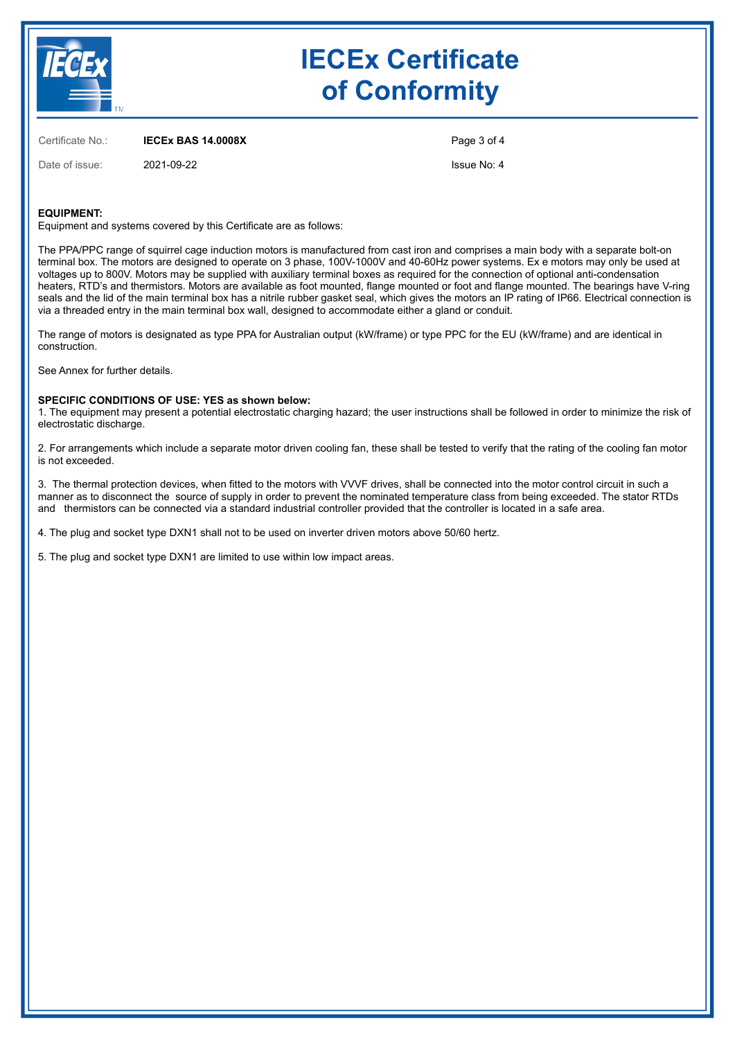

Certificate No.: **IECEx BAS 14.0008X**

Date of issue: 2021-09-22

Page 3 of 4 Issue No: 4

### **EQUIPMENT:**

Equipment and systems covered by this Certificate are as follows:

The PPA/PPC range of squirrel cage induction motors is manufactured from cast iron and comprises a main body with a separate bolt-on terminal box. The motors are designed to operate on 3 phase, 100V-1000V and 40-60Hz power systems. Ex e motors may only be used at voltages up to 800V. Motors may be supplied with auxiliary terminal boxes as required for the connection of optional anti-condensation heaters, RTD's and thermistors. Motors are available as foot mounted, flange mounted or foot and flange mounted. The bearings have V-ring seals and the lid of the main terminal box has a nitrile rubber gasket seal, which gives the motors an IP rating of IP66. Electrical connection is via a threaded entry in the main terminal box wall, designed to accommodate either a gland or conduit.

The range of motors is designated as type PPA for Australian output (kW/frame) or type PPC for the EU (kW/frame) and are identical in construction.

See Annex for further details.

### **SPECIFIC CONDITIONS OF USE: YES as shown below:**

1. The equipment may present a potential electrostatic charging hazard; the user instructions shall be followed in order to minimize the risk of electrostatic discharge.

2. For arrangements which include a separate motor driven cooling fan, these shall be tested to verify that the rating of the cooling fan motor is not exceeded.

3. The thermal protection devices, when fitted to the motors with VVVF drives, shall be connected into the motor control circuit in such a manner as to disconnect the source of supply in order to prevent the nominated temperature class from being exceeded. The stator RTDs and thermistors can be connected via a standard industrial controller provided that the controller is located in a safe area.

4. The plug and socket type DXN1 shall not to be used on inverter driven motors above 50/60 hertz.

5. The plug and socket type DXN1 are limited to use within low impact areas.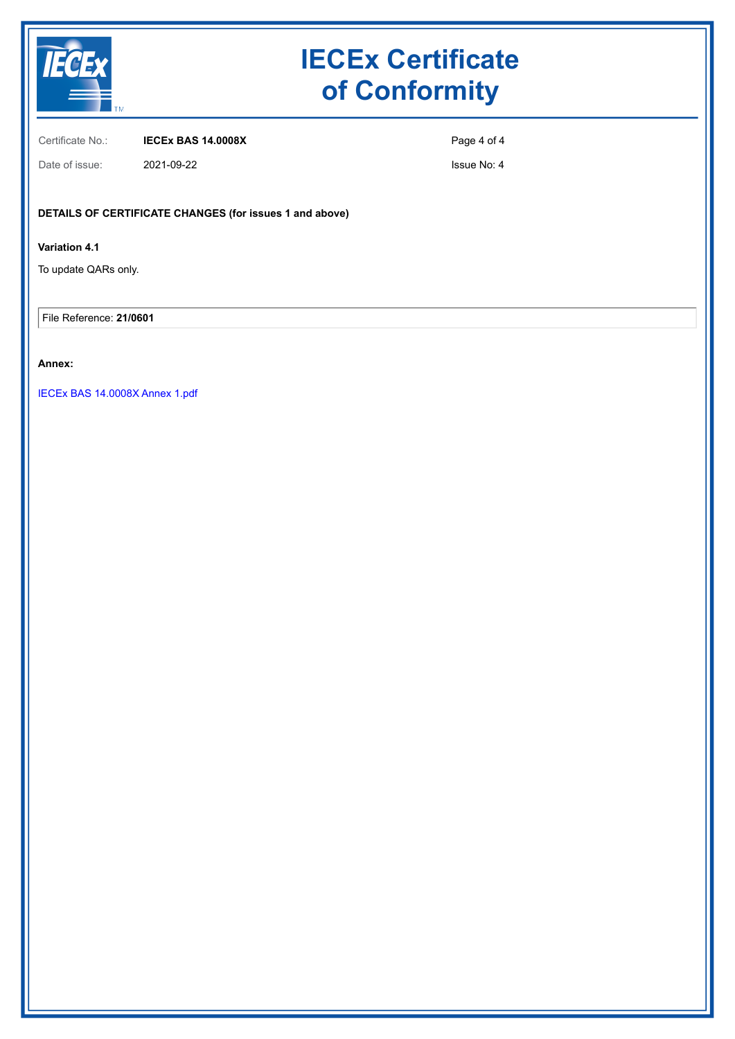

Certificate No.: **IECEx BAS 14.0008X**

Page 4 of 4

Date of issue: 2021-09-22

Issue No: 4

# **DETAILS OF CERTIFICATE CHANGES (for issues 1 and above)**

# **Variation 4.1**

To update QARs only.

File Reference: **21/0601**

## **Annex:**

[IECEx BAS 14.0008X Annex 1.pdf](https://www.iecex-certs.com/#/deliverables/CERT/56979/view)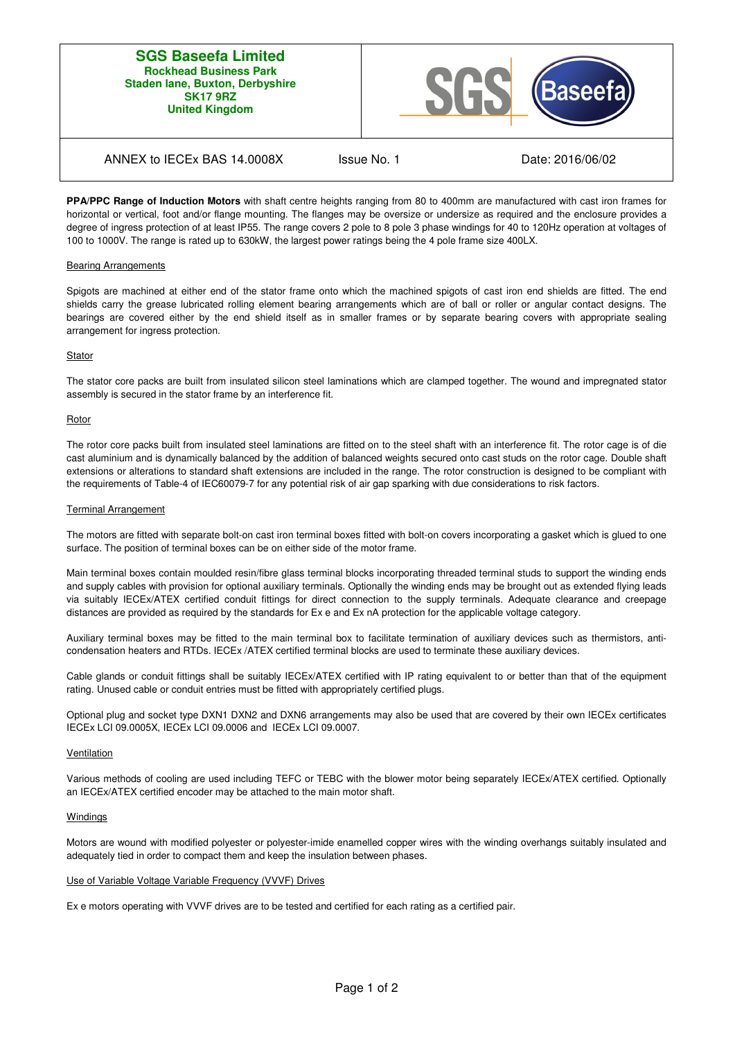### **SGS Baseefa Limited Rockhead Business Park Staden lane, Buxton, Derbyshire SK17 9RZ United Kingdom**



# ANNEX to IECEx BAS 14.0008X Issue No. 1 Date: 2016/06/02

**PPA/PPC Range of Induction Motors** with shaft centre heights ranging from 80 to 400mm are manufactured with cast iron frames for horizontal or vertical, foot and/or flange mounting. The flanges may be oversize or undersize as required and the enclosure provides a degree of ingress protection of at least IP55. The range covers 2 pole to 8 pole 3 phase windings for 40 to 120Hz operation at voltages of 100 to 1000V. The range is rated up to 630kW, the largest power ratings being the 4 pole frame size 400LX.

### Bearing Arrangements

Spigots are machined at either end of the stator frame onto which the machined spigots of cast iron end shields are fitted. The end shields carry the grease lubricated rolling element bearing arrangements which are of ball or roller or angular contact designs. The bearings are covered either by the end shield itself as in smaller frames or by separate bearing covers with appropriate sealing arrangement for ingress protection.

### **Stator**

The stator core packs are built from insulated silicon steel laminations which are clamped together. The wound and impregnated stator assembly is secured in the stator frame by an interference fit.

### Rotor

The rotor core packs built from insulated steel laminations are fitted on to the steel shaft with an interference fit. The rotor cage is of die cast aluminium and is dynamically balanced by the addition of balanced weights secured onto cast studs on the rotor cage. Double shaft extensions or alterations to standard shaft extensions are included in the range. The rotor construction is designed to be compliant with the requirements of Table-4 of IEC60079-7 for any potential risk of air gap sparking with due considerations to risk factors.

### Terminal Arrangement

The motors are fitted with separate bolt-on cast iron terminal boxes fitted with bolt-on covers incorporating a gasket which is glued to one surface. The position of terminal boxes can be on either side of the motor frame.

Main terminal boxes contain moulded resin/fibre glass terminal blocks incorporating threaded terminal studs to support the winding ends and supply cables with provision for optional auxiliary terminals. Optionally the winding ends may be brought out as extended flying leads via suitably IECEx/ATEX certified conduit fittings for direct connection to the supply terminals. Adequate clearance and creepage distances are provided as required by the standards for Ex e and Ex nA protection for the applicable voltage category.

Auxiliary terminal boxes may be fitted to the main terminal box to facilitate termination of auxiliary devices such as thermistors, anticondensation heaters and RTDs. IECEx /ATEX certified terminal blocks are used to terminate these auxiliary devices.

Cable glands or conduit fittings shall be suitably IECEx/ATEX certified with IP rating equivalent to or better than that of the equipment rating. Unused cable or conduit entries must be fitted with appropriately certified plugs.

Optional plug and socket type DXN1 DXN2 and DXN6 arrangements may also be used that are covered by their own IECEx certificates IECEx LCI 09.0005X, IECEx LCI 09.0006 and IECEx LCI 09.0007.

### Ventilation

Various methods of cooling are used including TEFC or TEBC with the blower motor being separately IECEx/ATEX certified. Optionally an IECEx/ATEX certified encoder may be attached to the main motor shaft.

### **Windings**

Motors are wound with modified polyester or polyester-imide enamelled copper wires with the winding overhangs suitably insulated and adequately tied in order to compact them and keep the insulation between phases.

### Use of Variable Voltage Variable Frequency (VVVF) Drives

Ex e motors operating with VVVF drives are to be tested and certified for each rating as a certified pair.